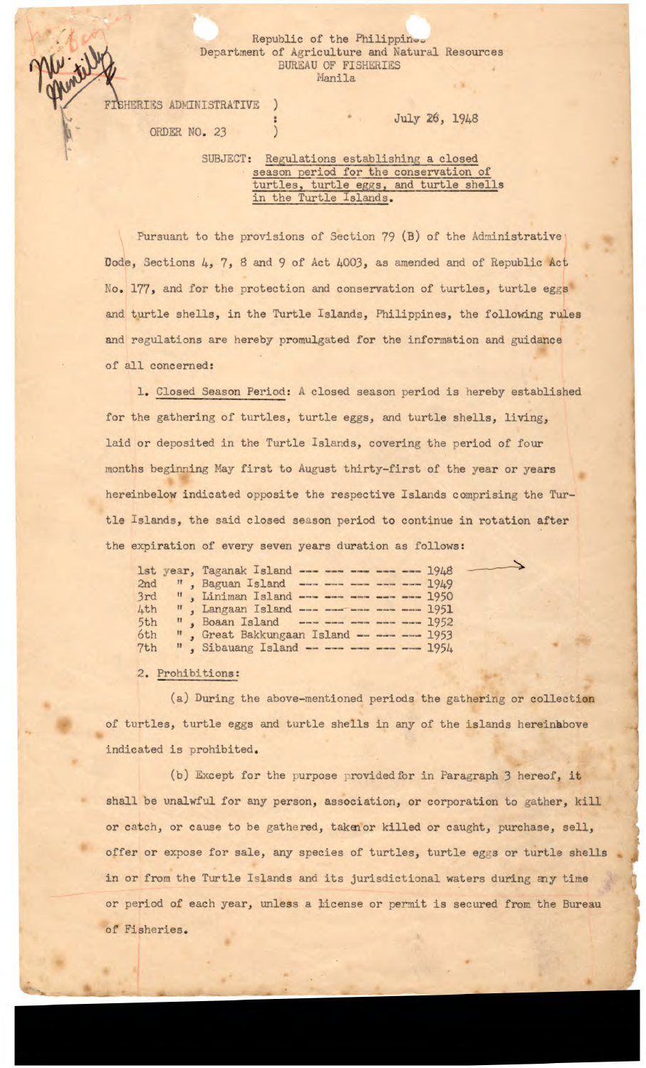## Republic of the Philippin Deartment of Agriculture and Natural Resources BUREAU OF FISHERIES Hanila

FISHERIES ADMINISTRATIVE

ORDER NO. 23

July 26, 1948

## SUBJECT: Regulations establishing a closed season period for the conservation of turtles, turtle eggs, and turtle shells in the Turtle Islands.

Pursuant to the provisions of Section 79 (B) of the Administrative Dode, Sections  $4$ ,  $7$ ,  $8$  and  $9$  of Act  $4003$ , as amended and of Republic Act No. 177, and for the protection and conservation of turtles, turtle eggs and turtle shells, in the Turtle Islands, Philippines, the following rules and regulations are hereby promulgated for the information and guidance of all concerned:

1. Closed Season Period: A closed season period is hereby established for the gathering of turtles, turtle eggs, and turtle shells, living, laid or deposited in the Turtle Islands, covering the period of four months beginning May first to August thirty-first of the year or years hereinbelow indicated opposite the respective Islands comprising the Turtle Islands, the said closed season period to continue in rotation after the expiration of every seven years duration as follows:

|     | 1st year, Taganak Island --- --- --- --- --- 1948 |  |
|-----|---------------------------------------------------|--|
| 2nd | ", Baguan Island ---- --- --- --- --- 1949        |  |
|     | 3rd ", Liniman Island ---- --- --- --- --- 1950   |  |
| 4th | ", Langaan Island --- --- --- --- --- -- 1951     |  |
| 5th | ", Boaan Island ------------------- 1952          |  |
| 6th | ", Great Bakkungaan Island ----- --- 1953         |  |
| 7th | ", Sibauang Island ----- --- --- --- 1954         |  |

2. Prohibitions:

(a) During the above-mentioned periods the gathering or collection of turtles, turtle eggs and turtle shells in any of the islands hereinbove indicated is prohibited.

(b) Except for the purpose provided for in Paragraph 3 hereof, it shall be unalwful for any person, association, or corporation to gather, kill or catch, or cause to be gathered, taken or killed or caught, purchase, sell, offer or expose for sale, any species of turtles, turtle eggs or turtle shells in or from the Turtle Islands and its jurisdictional waters during-my time or period of each year, unless a license or permit is secured from the Bureau of Fisheries.